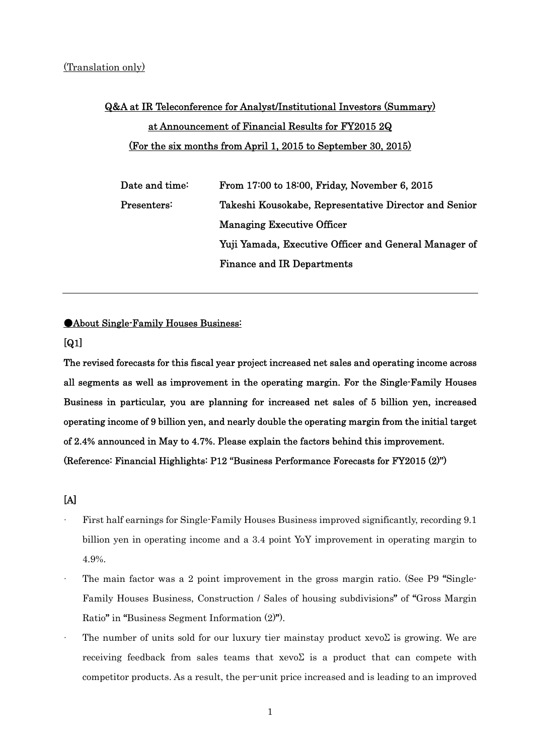## Q&A at IR Teleconference for Analyst/Institutional Investors (Summary) at Announcement of Financial Results for FY2015 2Q (For the six months from April 1, 2015 to September 30, 2015)

| Date and time: $\,$               | From 17:00 to 18:00, Friday, November 6, 2015         |
|-----------------------------------|-------------------------------------------------------|
| $\operatorname{Presenters}\colon$ | Takeshi Kousokabe, Representative Director and Senior |
|                                   | <b>Managing Executive Officer</b>                     |
|                                   | Yuji Yamada, Executive Officer and General Manager of |
|                                   | <b>Finance and IR Departments</b>                     |

●About Single-Family Houses Business:

[Q1]

The revised forecasts for this fiscal year project increased net sales and operating income across all segments as well as improvement in the operating margin. For the Single-Family Houses Business in particular, you are planning for increased net sales of 5 billion yen, increased operating income of 9 billion yen, and nearly double the operating margin from the initial target of 2.4% announced in May to 4.7%. Please explain the factors behind this improvement. (Reference: Financial Highlights: P12 "Business Performance Forecasts for FY2015 (2)")

[A]

- · First half earnings for Single-Family Houses Business improved significantly, recording 9.1 billion yen in operating income and a 3.4 point YoY improvement in operating margin to 4.9%.
- The main factor was a 2 point improvement in the gross margin ratio. (See P9 "Single-Family Houses Business, Construction / Sales of housing subdivisions" of "Gross Margin Ratio" in "Business Segment Information (2)").
- The number of units sold for our luxury tier mainstay product xevoΣ is growing. We are receiving feedback from sales teams that  $xev\delta$  is a product that can compete with competitor products. As a result, the per-unit price increased and is leading to an improved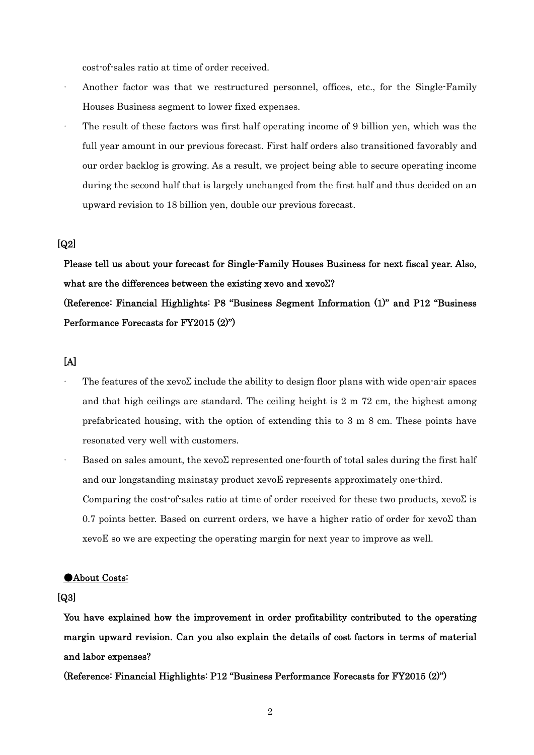cost-of-sales ratio at time of order received.

- Another factor was that we restructured personnel, offices, etc., for the Single-Family Houses Business segment to lower fixed expenses.
- The result of these factors was first half operating income of 9 billion yen, which was the full year amount in our previous forecast. First half orders also transitioned favorably and our order backlog is growing. As a result, we project being able to secure operating income during the second half that is largely unchanged from the first half and thus decided on an upward revision to 18 billion yen, double our previous forecast.

#### [Q2]

Please tell us about your forecast for Single-Family Houses Business for next fiscal year. Also, what are the differences between the existing xevo and xevoΣ?

(Reference: Financial Highlights: P8 "Business Segment Information (1)" and P12 "Business Performance Forecasts for FY2015 (2)")

#### [A]

- The features of the xevo $\Sigma$  include the ability to design floor plans with wide open-air spaces and that high ceilings are standard. The ceiling height is 2 m 72 cm, the highest among prefabricated housing, with the option of extending this to 3 m 8 cm. These points have resonated very well with customers.
- Based on sales amount, the xevoΣ represented one-fourth of total sales during the first half and our longstanding mainstay product xevoE represents approximately one-third. Comparing the cost-of-sales ratio at time of order received for these two products,  $xevo\Sigma$  is 0.7 points better. Based on current orders, we have a higher ratio of order for xevoΣ than xevoE so we are expecting the operating margin for next year to improve as well.

#### ●About Costs:

#### [Q3]

You have explained how the improvement in order profitability contributed to the operating margin upward revision. Can you also explain the details of cost factors in terms of material and labor expenses?

(Reference: Financial Highlights: P12 "Business Performance Forecasts for FY2015 (2)")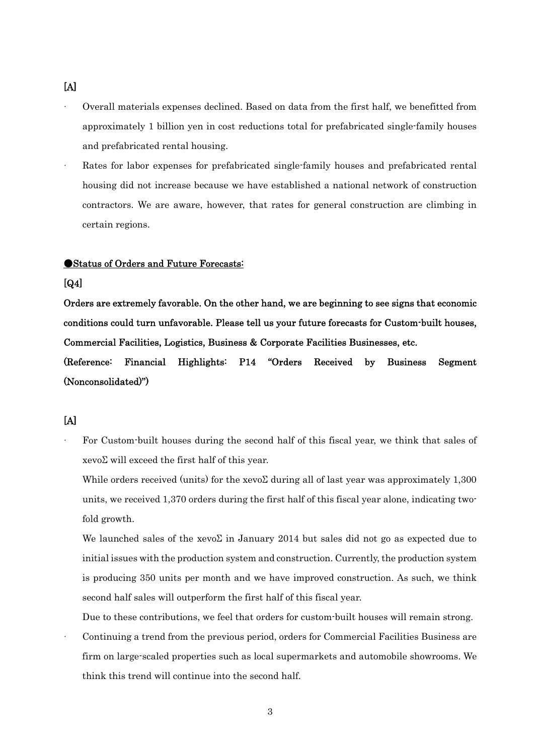- · Overall materials expenses declined. Based on data from the first half, we benefitted from approximately 1 billion yen in cost reductions total for prefabricated single-family houses and prefabricated rental housing.
- Rates for labor expenses for prefabricated single-family houses and prefabricated rental housing did not increase because we have established a national network of construction contractors. We are aware, however, that rates for general construction are climbing in certain regions.

#### ●Status of Orders and Future Forecasts:

#### [Q4]

Orders are extremely favorable. On the other hand, we are beginning to see signs that economic conditions could turn unfavorable. Please tell us your future forecasts for Custom-built houses, Commercial Facilities, Logistics, Business & Corporate Facilities Businesses, etc.

(Reference: Financial Highlights: P14 "Orders Received by Business Segment (Nonconsolidated)")

## $[A]$

For Custom-built houses during the second half of this fiscal year, we think that sales of xevoΣ will exceed the first half of this year.

While orders received (units) for the xevoΣ during all of last year was approximately 1,300 units, we received 1,370 orders during the first half of this fiscal year alone, indicating twofold growth.

We launched sales of the xevo $\Sigma$  in January 2014 but sales did not go as expected due to initial issues with the production system and construction. Currently, the production system is producing 350 units per month and we have improved construction. As such, we think second half sales will outperform the first half of this fiscal year.

Due to these contributions, we feel that orders for custom-built houses will remain strong.

· Continuing a trend from the previous period, orders for Commercial Facilities Business are firm on large-scaled properties such as local supermarkets and automobile showrooms. We think this trend will continue into the second half.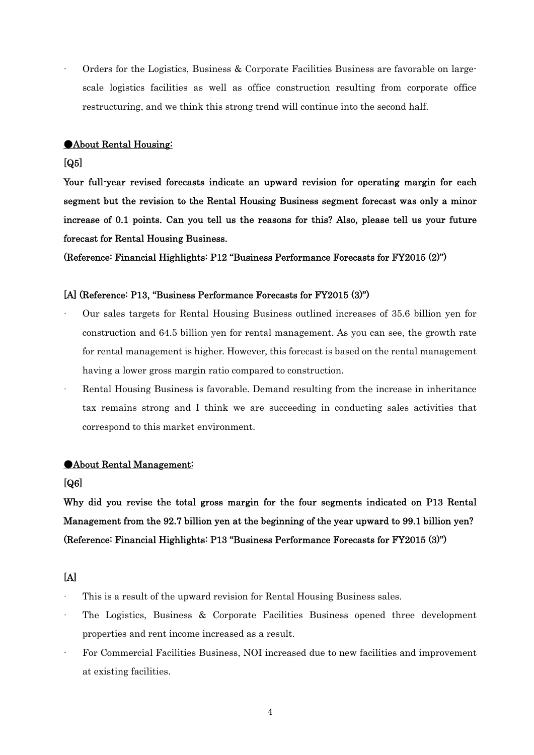· Orders for the Logistics, Business & Corporate Facilities Business are favorable on largescale logistics facilities as well as office construction resulting from corporate office restructuring, and we think this strong trend will continue into the second half.

#### ●About Rental Housing:

#### [Q5]

Your full-year revised forecasts indicate an upward revision for operating margin for each segment but the revision to the Rental Housing Business segment forecast was only a minor increase of 0.1 points. Can you tell us the reasons for this? Also, please tell us your future forecast for Rental Housing Business.

(Reference: Financial Highlights: P12 "Business Performance Forecasts for FY2015 (2)")

#### [A] (Reference: P13, "Business Performance Forecasts for FY2015 (3)")

- · Our sales targets for Rental Housing Business outlined increases of 35.6 billion yen for construction and 64.5 billion yen for rental management. As you can see, the growth rate for rental management is higher. However, this forecast is based on the rental management having a lower gross margin ratio compared to construction.
- Rental Housing Business is favorable. Demand resulting from the increase in inheritance tax remains strong and I think we are succeeding in conducting sales activities that correspond to this market environment.

#### **OAbout Rental Management:**

#### [Q6]

Why did you revise the total gross margin for the four segments indicated on P13 Rental Management from the 92.7 billion yen at the beginning of the year upward to 99.1 billion yen? (Reference: Financial Highlights: P13 "Business Performance Forecasts for FY2015 (3)")

#### $[A]$

- · This is a result of the upward revision for Rental Housing Business sales.
- The Logistics, Business & Corporate Facilities Business opened three development properties and rent income increased as a result.
- · For Commercial Facilities Business, NOI increased due to new facilities and improvement at existing facilities.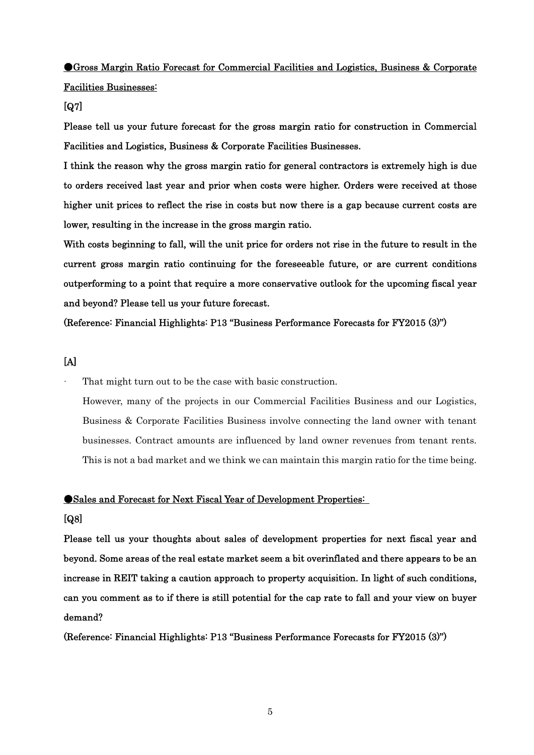# ●Gross Margin Ratio Forecast for Commercial Facilities and Logistics, Business & Corporate

Facilities Businesses:

#### [Q7]

Please tell us your future forecast for the gross margin ratio for construction in Commercial Facilities and Logistics, Business & Corporate Facilities Businesses.

I think the reason why the gross margin ratio for general contractors is extremely high is due to orders received last year and prior when costs were higher. Orders were received at those higher unit prices to reflect the rise in costs but now there is a gap because current costs are lower, resulting in the increase in the gross margin ratio.

With costs beginning to fall, will the unit price for orders not rise in the future to result in the current gross margin ratio continuing for the foreseeable future, or are current conditions outperforming to a point that require a more conservative outlook for the upcoming fiscal year and beyond? Please tell us your future forecast.

(Reference: Financial Highlights: P13 "Business Performance Forecasts for FY2015 (3)")

[A]

That might turn out to be the case with basic construction.

However, many of the projects in our Commercial Facilities Business and our Logistics, Business & Corporate Facilities Business involve connecting the land owner with tenant businesses. Contract amounts are influenced by land owner revenues from tenant rents. This is not a bad market and we think we can maintain this margin ratio for the time being.

#### ●Sales and Forecast for Next Fiscal Year of Development Properties:

#### [Q8]

Please tell us your thoughts about sales of development properties for next fiscal year and beyond. Some areas of the real estate market seem a bit overinflated and there appears to be an increase in REIT taking a caution approach to property acquisition. In light of such conditions, can you comment as to if there is still potential for the cap rate to fall and your view on buyer demand?

(Reference: Financial Highlights: P13 "Business Performance Forecasts for FY2015 (3)")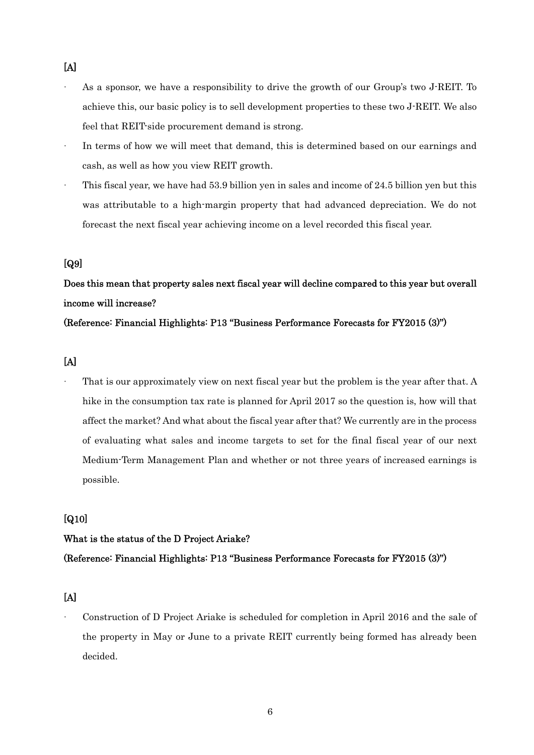- · As a sponsor, we have a responsibility to drive the growth of our Group's two J-REIT. To achieve this, our basic policy is to sell development properties to these two J-REIT. We also feel that REIT-side procurement demand is strong.
- In terms of how we will meet that demand, this is determined based on our earnings and cash, as well as how you view REIT growth.
- · This fiscal year, we have had 53.9 billion yen in sales and income of 24.5 billion yen but this was attributable to a high-margin property that had advanced depreciation. We do not forecast the next fiscal year achieving income on a level recorded this fiscal year.

#### [Q9]

## Does this mean that property sales next fiscal year will decline compared to this year but overall income will increase?

#### (Reference: Financial Highlights: P13 "Business Performance Forecasts for FY2015 (3)")

- [A]
- That is our approximately view on next fiscal year but the problem is the year after that. A hike in the consumption tax rate is planned for April 2017 so the question is, how will that affect the market? And what about the fiscal year after that? We currently are in the process of evaluating what sales and income targets to set for the final fiscal year of our next Medium-Term Management Plan and whether or not three years of increased earnings is possible.

## [Q10]

#### What is the status of the D Project Ariake?

#### (Reference: Financial Highlights: P13 "Business Performance Forecasts for FY2015 (3)")

## [A]

· Construction of D Project Ariake is scheduled for completion in April 2016 and the sale of the property in May or June to a private REIT currently being formed has already been decided.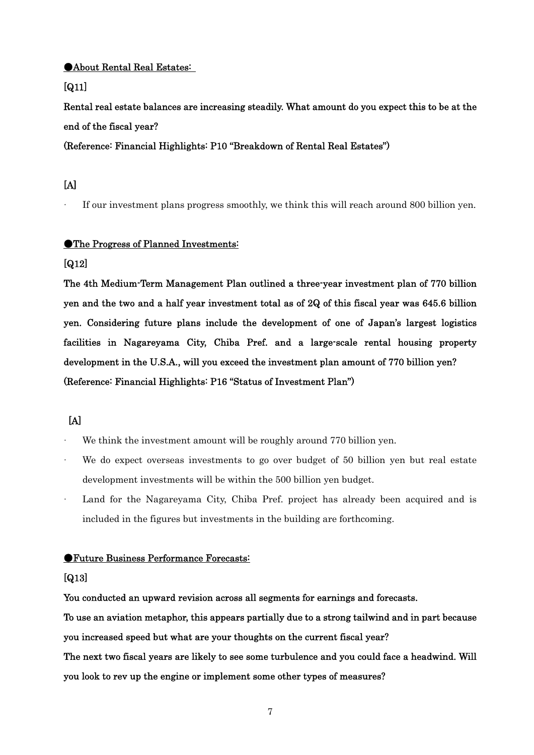#### ●About Rental Real Estates:

#### [Q11]

Rental real estate balances are increasing steadily. What amount do you expect this to be at the end of the fiscal year?

(Reference: Financial Highlights: P10 "Breakdown of Rental Real Estates")

## $[A]$

If our investment plans progress smoothly, we think this will reach around 800 billion yen.

#### ●The Progress of Planned Investments:

#### [Q12]

The 4th Medium-Term Management Plan outlined a three-year investment plan of 770 billion yen and the two and a half year investment total as of 2Q of this fiscal year was 645.6 billion yen. Considering future plans include the development of one of Japan's largest logistics facilities in Nagareyama City, Chiba Pref. and a large-scale rental housing property development in the U.S.A., will you exceed the investment plan amount of 770 billion yen? (Reference: Financial Highlights: P16 "Status of Investment Plan")

## $[A]$

- We think the investment amount will be roughly around 770 billion yen.
- We do expect overseas investments to go over budget of 50 billion yen but real estate development investments will be within the 500 billion yen budget.
- Land for the Nagareyama City, Chiba Pref. project has already been acquired and is included in the figures but investments in the building are forthcoming.

#### ●Future Business Performance Forecasts:

#### [Q13]

You conducted an upward revision across all segments for earnings and forecasts.

To use an aviation metaphor, this appears partially due to a strong tailwind and in part because you increased speed but what are your thoughts on the current fiscal year?

The next two fiscal years are likely to see some turbulence and you could face a headwind. Will you look to rev up the engine or implement some other types of measures?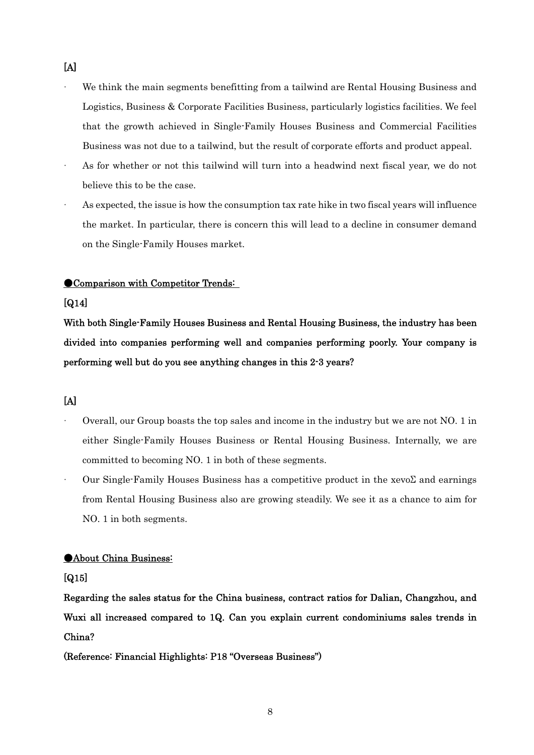- We think the main segments benefitting from a tailwind are Rental Housing Business and Logistics, Business & Corporate Facilities Business, particularly logistics facilities. We feel that the growth achieved in Single-Family Houses Business and Commercial Facilities Business was not due to a tailwind, but the result of corporate efforts and product appeal.
- · As for whether or not this tailwind will turn into a headwind next fiscal year, we do not believe this to be the case.
- As expected, the issue is how the consumption tax rate hike in two fiscal years will influence the market. In particular, there is concern this will lead to a decline in consumer demand on the Single-Family Houses market.

#### ●Comparison with Competitor Trends:

#### [Q14]

With both Single-Family Houses Business and Rental Housing Business, the industry has been divided into companies performing well and companies performing poorly. Your company is performing well but do you see anything changes in this 2-3 years?

## [A]

- · Overall, our Group boasts the top sales and income in the industry but we are not NO. 1 in either Single-Family Houses Business or Rental Housing Business. Internally, we are committed to becoming NO. 1 in both of these segments.
- Our Single-Family Houses Business has a competitive product in the xevoΣ and earnings from Rental Housing Business also are growing steadily. We see it as a chance to aim for NO. 1 in both segments.

#### ●About China Business:

#### [Q15]

Regarding the sales status for the China business, contract ratios for Dalian, Changzhou, and Wuxi all increased compared to 1Q. Can you explain current condominiums sales trends in China?

#### (Reference: Financial Highlights: P18 "Overseas Business")